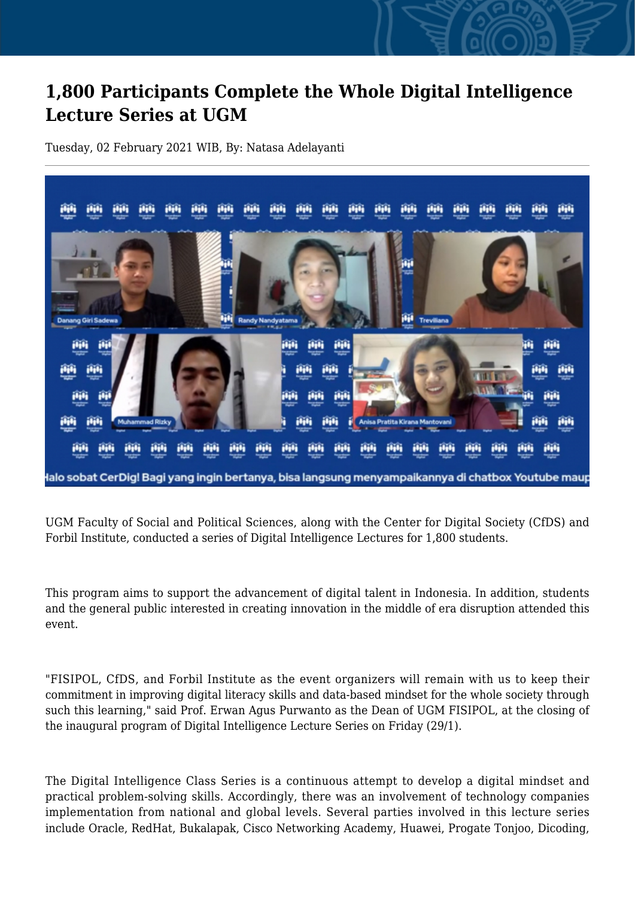## **1,800 Participants Complete the Whole Digital Intelligence Lecture Series at UGM**

Tuesday, 02 February 2021 WIB, By: Natasa Adelayanti



UGM Faculty of Social and Political Sciences, along with the Center for Digital Society (CfDS) and Forbil Institute, conducted a series of Digital Intelligence Lectures for 1,800 students.

This program aims to support the advancement of digital talent in Indonesia. In addition, students and the general public interested in creating innovation in the middle of era disruption attended this event.

"FISIPOL, CfDS, and Forbil Institute as the event organizers will remain with us to keep their commitment in improving digital literacy skills and data-based mindset for the whole society through such this learning," said Prof. Erwan Agus Purwanto as the Dean of UGM FISIPOL, at the closing of the inaugural program of Digital Intelligence Lecture Series on Friday (29/1).

The Digital Intelligence Class Series is a continuous attempt to develop a digital mindset and practical problem-solving skills. Accordingly, there was an involvement of technology companies implementation from national and global levels. Several parties involved in this lecture series include Oracle, RedHat, Bukalapak, Cisco Networking Academy, Huawei, Progate Tonjoo, Dicoding,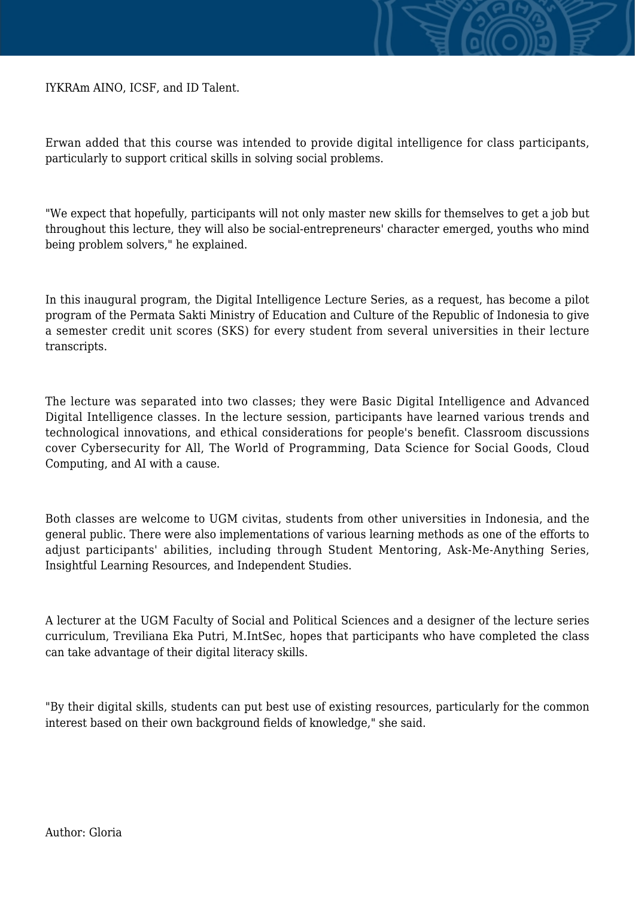IYKRAm AINO, ICSF, and ID Talent.

Erwan added that this course was intended to provide digital intelligence for class participants, particularly to support critical skills in solving social problems.

"We expect that hopefully, participants will not only master new skills for themselves to get a job but throughout this lecture, they will also be social-entrepreneurs' character emerged, youths who mind being problem solvers," he explained.

In this inaugural program, the Digital Intelligence Lecture Series, as a request, has become a pilot program of the Permata Sakti Ministry of Education and Culture of the Republic of Indonesia to give a semester credit unit scores (SKS) for every student from several universities in their lecture transcripts.

The lecture was separated into two classes; they were Basic Digital Intelligence and Advanced Digital Intelligence classes. In the lecture session, participants have learned various trends and technological innovations, and ethical considerations for people's benefit. Classroom discussions cover Cybersecurity for All, The World of Programming, Data Science for Social Goods, Cloud Computing, and AI with a cause.

Both classes are welcome to UGM civitas, students from other universities in Indonesia, and the general public. There were also implementations of various learning methods as one of the efforts to adjust participants' abilities, including through Student Mentoring, Ask-Me-Anything Series, Insightful Learning Resources, and Independent Studies.

A lecturer at the UGM Faculty of Social and Political Sciences and a designer of the lecture series curriculum, Treviliana Eka Putri, M.IntSec, hopes that participants who have completed the class can take advantage of their digital literacy skills.

"By their digital skills, students can put best use of existing resources, particularly for the common interest based on their own background fields of knowledge," she said.